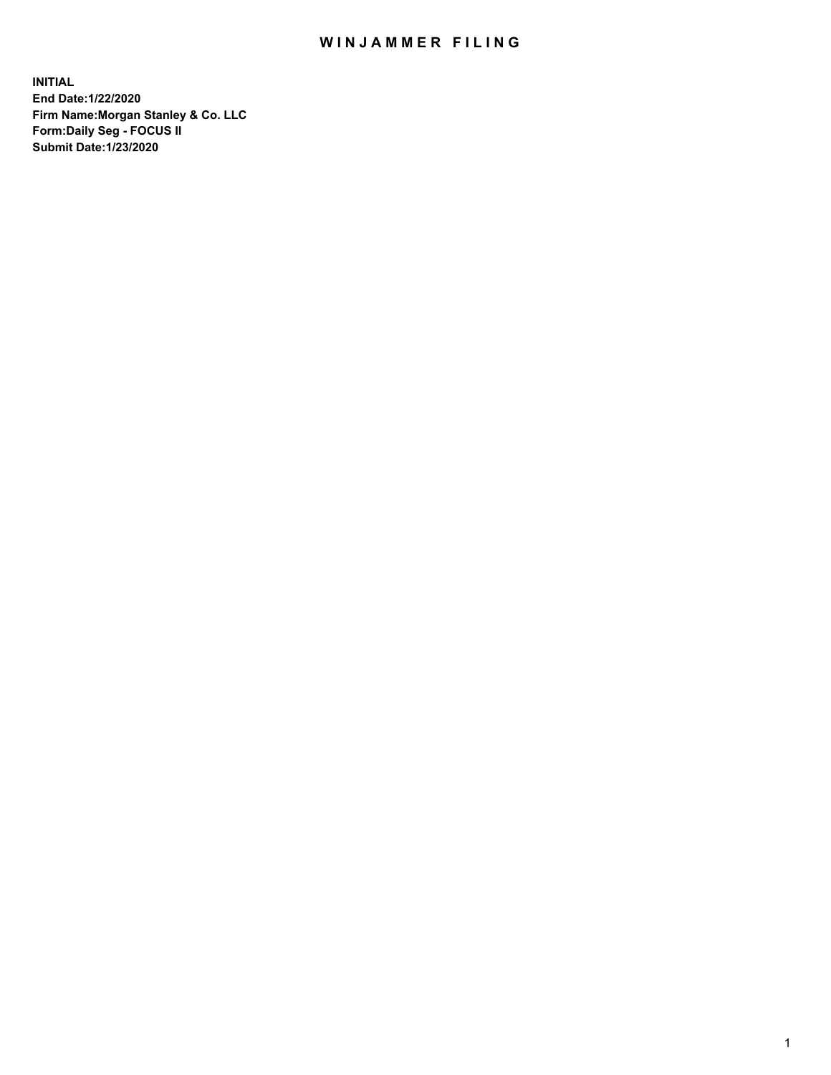## WIN JAMMER FILING

**INITIAL End Date:1/22/2020 Firm Name:Morgan Stanley & Co. LLC Form:Daily Seg - FOCUS II Submit Date:1/23/2020**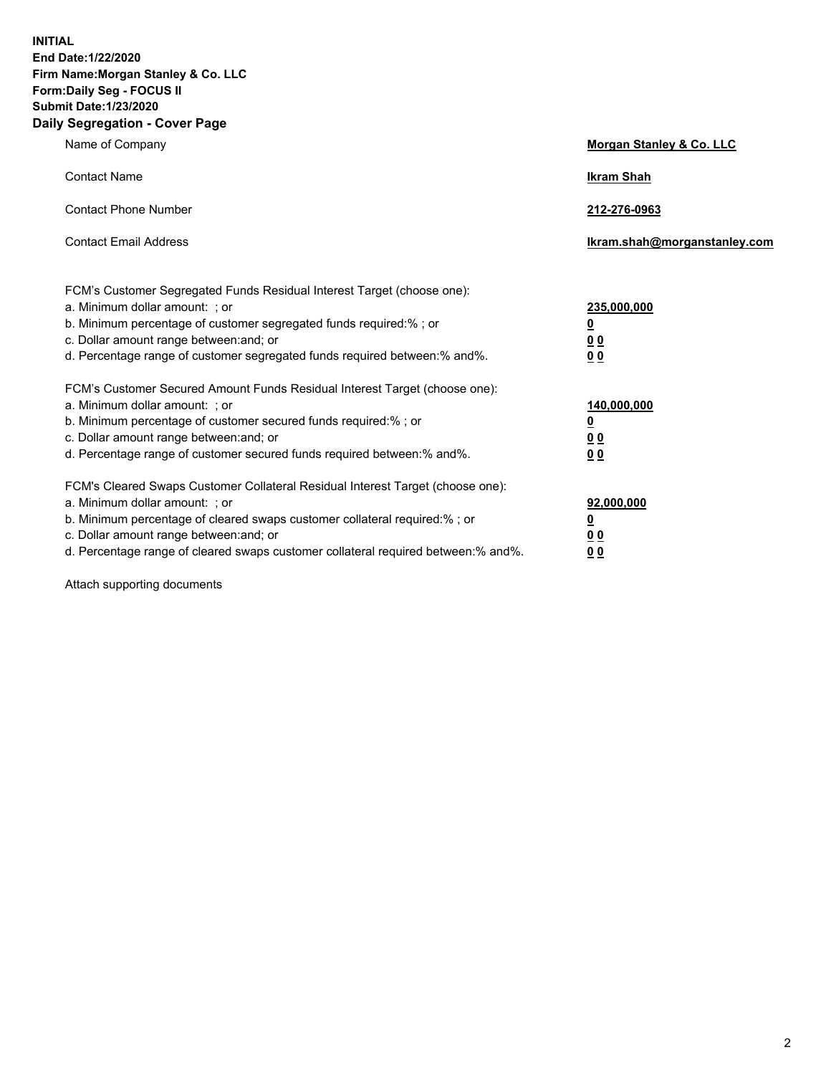**INITIAL End Date:1/22/2020 Firm Name:Morgan Stanley & Co. LLC Form:Daily Seg - FOCUS II Submit Date:1/23/2020 Daily Segregation - Cover Page**

| Name of Company                                                                   | Morgan Stanley & Co. LLC     |
|-----------------------------------------------------------------------------------|------------------------------|
| <b>Contact Name</b>                                                               | <b>Ikram Shah</b>            |
| <b>Contact Phone Number</b>                                                       | 212-276-0963                 |
| <b>Contact Email Address</b>                                                      | Ikram.shah@morganstanley.com |
| FCM's Customer Segregated Funds Residual Interest Target (choose one):            |                              |
| a. Minimum dollar amount: ; or                                                    | 235,000,000                  |
| b. Minimum percentage of customer segregated funds required:% ; or                | <u>0</u>                     |
| c. Dollar amount range between: and; or                                           | 0 <sub>0</sub>               |
| d. Percentage range of customer segregated funds required between: % and %.       | 0 <sub>0</sub>               |
| FCM's Customer Secured Amount Funds Residual Interest Target (choose one):        |                              |
| a. Minimum dollar amount: ; or                                                    | 140,000,000                  |
| b. Minimum percentage of customer secured funds required:%; or                    | <u>0</u>                     |
| c. Dollar amount range between: and; or                                           | 0 <sub>0</sub>               |
| d. Percentage range of customer secured funds required between:% and%.            | 0 <sub>0</sub>               |
| FCM's Cleared Swaps Customer Collateral Residual Interest Target (choose one):    |                              |
| a. Minimum dollar amount: ; or                                                    | 92,000,000                   |
| b. Minimum percentage of cleared swaps customer collateral required:% ; or        | <u>0</u>                     |
| c. Dollar amount range between: and; or                                           | <u>00</u>                    |
| d. Percentage range of cleared swaps customer collateral required between:% and%. | 00                           |

Attach supporting documents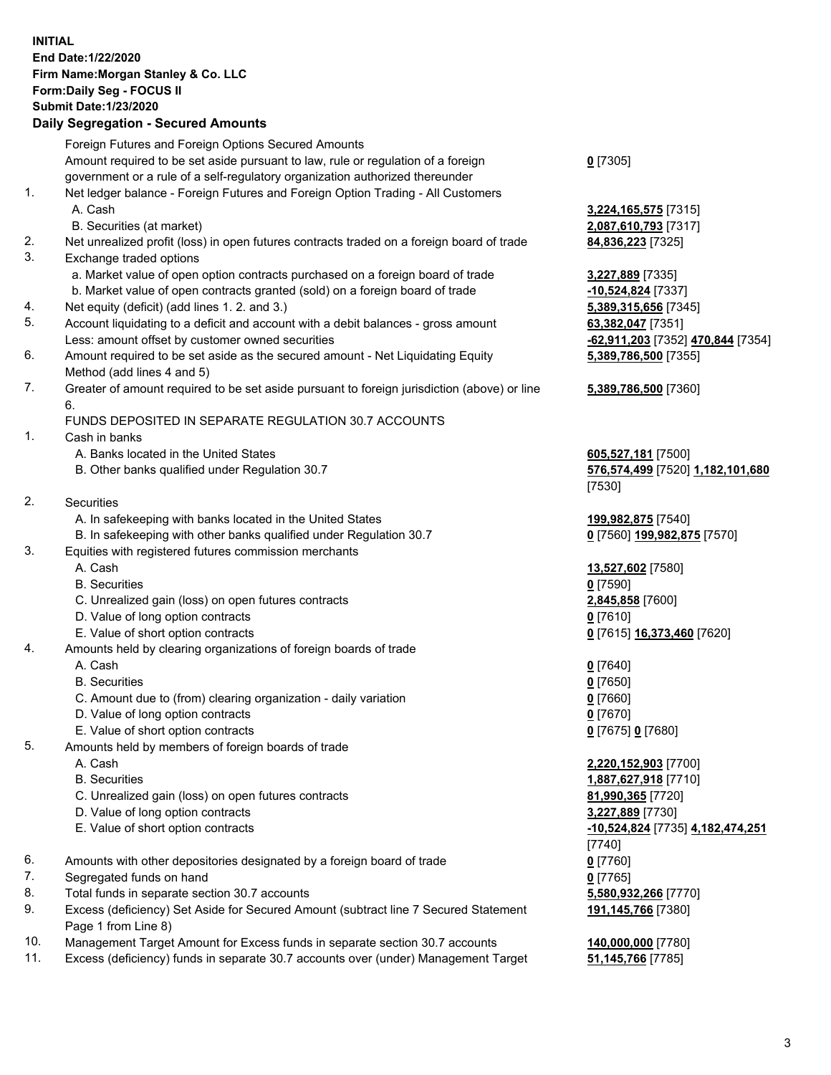## **INITIAL End Date:1/22/2020 Firm Name:Morgan Stanley & Co. LLC Form:Daily Seg - FOCUS II Submit Date:1/23/2020 Daily Segregation - Secured Amounts** Foreign Futures and Foreign Options Secured Amounts Amount required to be set aside pursuant to law, rule or regulation of a foreign government or a rule of a self-regulatory organization authorized thereunder 1. Net ledger balance - Foreign Futures and Foreign Option Trading - All Customers A. Cash **3,224,165,575** [7315] B. Securities (at market) **2,087,610,793** [7317]

- 2. Net unrealized profit (loss) in open futures contracts traded on a foreign board of trade **84,836,223** [7325]
- 3. Exchange traded options
	- a. Market value of open option contracts purchased on a foreign board of trade **3,227,889** [7335]
	- b. Market value of open contracts granted (sold) on a foreign board of trade **-10,524,824** [7337]
- 4. Net equity (deficit) (add lines 1. 2. and 3.) **5,389,315,656** [7345]
- 5. Account liquidating to a deficit and account with a debit balances gross amount **63,382,047** [7351] Less: amount offset by customer owned securities **-62,911,203** [7352] **470,844** [7354]
- 6. Amount required to be set aside as the secured amount Net Liquidating Equity Method (add lines 4 and 5)
- 7. Greater of amount required to be set aside pursuant to foreign jurisdiction (above) or line 6.

## FUNDS DEPOSITED IN SEPARATE REGULATION 30.7 ACCOUNTS

1. Cash in banks

- A. Banks located in the United States **605,527,181** [7500]
- B. Other banks qualified under Regulation 30.7 **576,574,499** [7520] **1,182,101,680**
- 2. Securities
	- A. In safekeeping with banks located in the United States **199,982,875** [7540]
- B. In safekeeping with other banks qualified under Regulation 30.7 **0** [7560] **199,982,875** [7570]
- 3. Equities with registered futures commission merchants
	-
	- B. Securities **0** [7590]
	- C. Unrealized gain (loss) on open futures contracts **2,845,858** [7600]
	- D. Value of long option contracts **0** [7610]
	- E. Value of short option contracts **0** [7615] **16,373,460** [7620]
- 4. Amounts held by clearing organizations of foreign boards of trade
	- A. Cash **0** [7640]
	- B. Securities **0** [7650]
	- C. Amount due to (from) clearing organization daily variation **0** [7660]
	- D. Value of long option contracts **0** [7670]
	- E. Value of short option contracts **0** [7675] **0** [7680]
- 5. Amounts held by members of foreign boards of trade
	-
	-
	- C. Unrealized gain (loss) on open futures contracts **81,990,365** [7720]
	- D. Value of long option contracts **3,227,889** [7730]
	-
- 6. Amounts with other depositories designated by a foreign board of trade **0** [7760]
- 7. Segregated funds on hand **0** [7765]
- 8. Total funds in separate section 30.7 accounts **5,580,932,266** [7770]
- 9. Excess (deficiency) Set Aside for Secured Amount (subtract line 7 Secured Statement Page 1 from Line 8)
- 10. Management Target Amount for Excess funds in separate section 30.7 accounts **140,000,000** [7780]
- 11. Excess (deficiency) funds in separate 30.7 accounts over (under) Management Target **51,145,766** [7785]

**0** [7305]

**5,389,786,500** [7355]

## **5,389,786,500** [7360]

[7530]

A. Cash **13,527,602** [7580]

 A. Cash **2,220,152,903** [7700] B. Securities **1,887,627,918** [7710] E. Value of short option contracts **-10,524,824** [7735] **4,182,474,251** [7740] **191,145,766** [7380]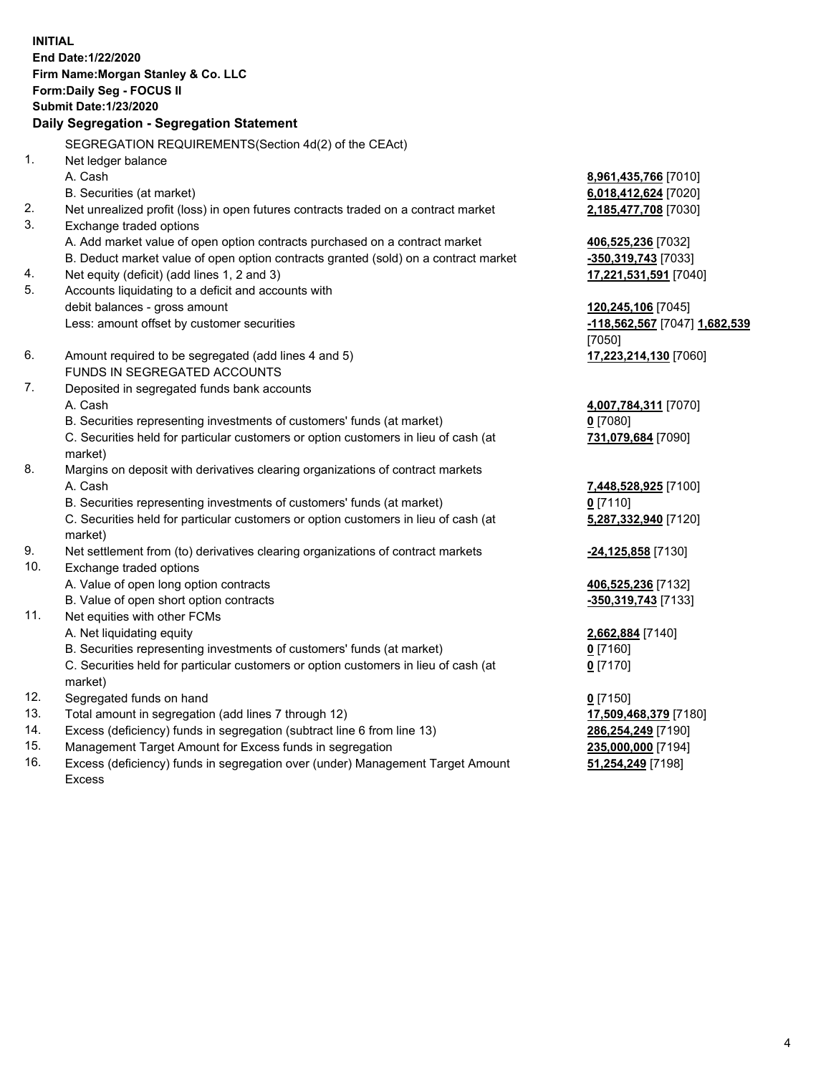**INITIAL End Date:1/22/2020 Firm Name:Morgan Stanley & Co. LLC Form:Daily Seg - FOCUS II Submit Date:1/23/2020 Daily Segregation - Segregation Statement** SEGREGATION REQUIREMENTS(Section 4d(2) of the CEAct) 1. Net ledger balance A. Cash **8,961,435,766** [7010] B. Securities (at market) **6,018,412,624** [7020] 2. Net unrealized profit (loss) in open futures contracts traded on a contract market **2,185,477,708** [7030] 3. Exchange traded options A. Add market value of open option contracts purchased on a contract market **406,525,236** [7032] B. Deduct market value of open option contracts granted (sold) on a contract market **-350,319,743** [7033] 4. Net equity (deficit) (add lines 1, 2 and 3) **17,221,531,591** [7040] 5. Accounts liquidating to a deficit and accounts with debit balances - gross amount **120,245,106** [7045] Less: amount offset by customer securities **-118,562,567** [7047] **1,682,539** [7050] 6. Amount required to be segregated (add lines 4 and 5) **17,223,214,130** [7060] FUNDS IN SEGREGATED ACCOUNTS 7. Deposited in segregated funds bank accounts A. Cash **4,007,784,311** [7070] B. Securities representing investments of customers' funds (at market) **0** [7080] C. Securities held for particular customers or option customers in lieu of cash (at market) **731,079,684** [7090] 8. Margins on deposit with derivatives clearing organizations of contract markets A. Cash **7,448,528,925** [7100] B. Securities representing investments of customers' funds (at market) **0** [7110] C. Securities held for particular customers or option customers in lieu of cash (at market) **5,287,332,940** [7120] 9. Net settlement from (to) derivatives clearing organizations of contract markets **-24,125,858** [7130] 10. Exchange traded options A. Value of open long option contracts **406,525,236** [7132] B. Value of open short option contracts **-350,319,743** [7133] 11. Net equities with other FCMs A. Net liquidating equity **2,662,884** [7140] B. Securities representing investments of customers' funds (at market) **0** [7160] C. Securities held for particular customers or option customers in lieu of cash (at market) **0** [7170] 12. Segregated funds on hand **0** [7150] 13. Total amount in segregation (add lines 7 through 12) **17,509,468,379** [7180] 14. Excess (deficiency) funds in segregation (subtract line 6 from line 13) **286,254,249** [7190]

- 15. Management Target Amount for Excess funds in segregation **235,000,000** [7194]
- 16. Excess (deficiency) funds in segregation over (under) Management Target Amount Excess

**51,254,249** [7198]